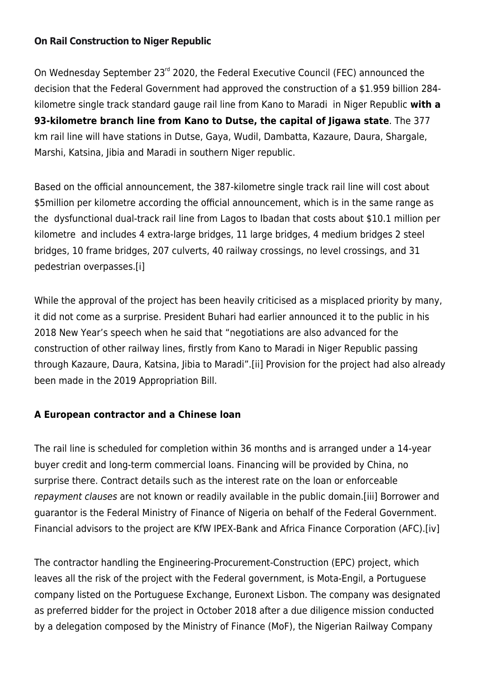### **[On Rail Construction to Niger Republic](https://thepoliteiainstitute.org/politeia-blog/on-rail-construction-to-niger-republic/)**

On Wednesday September 23<sup>rd</sup> 2020, the Federal Executive Council (FEC) announced the decision that the Federal Government had approved the construction of a \$1.959 billion 284 kilometre single track standard gauge rail line from Kano to Maradi in Niger Republic **with a 93-kilometre branch line from Kano to Dutse, the capital of Jigawa state**. The 377 km rail line will have stations in Dutse, Gaya, Wudil, Dambatta, Kazaure, Daura, Shargale, Marshi, Katsina, Jibia and Maradi in southern Niger republic.

Based on the official announcement, the 387-kilometre single track rail line will cost about \$5million per kilometre according the official announcement, which is in the same range as the dysfunctional dual-track rail line from Lagos to Ibadan that costs about \$10.1 million per kilometre and includes 4 extra-large bridges, 11 large bridges, 4 medium bridges 2 steel bridges, 10 frame bridges, 207 culverts, 40 railway crossings, no level crossings, and 31 pedestrian overpasses[.\[i\]](#page--1-0)

While the approval of the project has been heavily criticised as a misplaced priority by many, it did not come as a surprise. President Buhari had earlier announced it to the public in his 2018 New Year's speech when he said that "negotiations are also advanced for the construction of other railway lines, firstly from Kano to Maradi in Niger Republic passing through Kazaure, Daura, Katsina, Jibia to Maradi"[.\[ii\]](#page--1-0) Provision for the project had also already been made in the 2019 Appropriation Bill.

#### **A European contractor and a Chinese loan**

The rail line is scheduled for completion within 36 months and is arranged under a 14-year buyer credit and long-term commercial loans. Financing will be provided by China, no surprise there. Contract details such as the interest rate on the loan or enforceable repayment clauses are not known or readily available in the public domain[.\[iii\]](#page--1-0) Borrower and guarantor is the Federal Ministry of Finance of Nigeria on behalf of the Federal Government. Financial advisors to the project are KfW IPEX-Bank and Africa Finance Corporation (AFC).[\[iv\]](#page--1-0)

The contractor handling the Engineering-Procurement-Construction (EPC) project, which leaves all the risk of the project with the Federal government, is Mota-Engil, a Portuguese company listed on the Portuguese Exchange, Euronext Lisbon. The company was designated as preferred bidder for the project in October 2018 after a due diligence mission conducted by a delegation composed by the Ministry of Finance (MoF), the Nigerian Railway Company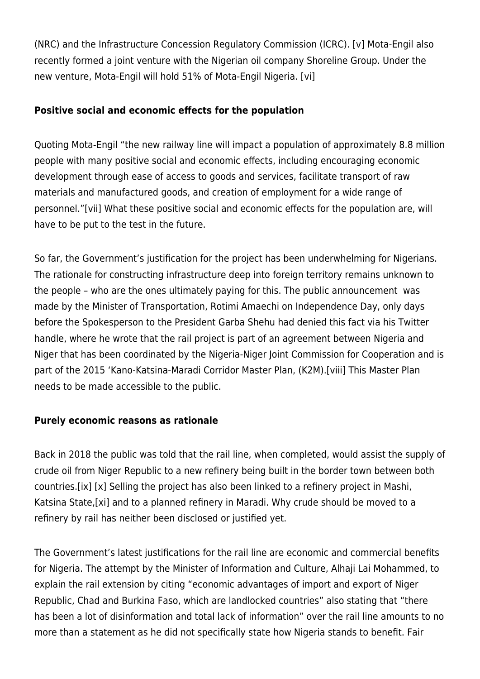(NRC) and the Infrastructure Concession Regulatory Commission (ICRC). [\[v\]](#page--1-0) Mota-Engil also recently formed a joint venture with the Nigerian oil company Shoreline Group. Under the new venture, Mota-Engil will hold 51% of Mota-Engil Nigeria. [\[vi\]](#page--1-0)

# **Positive social and economic effects for the population**

Quoting Mota-Engil "the new railway line will impact a population of approximately 8.8 million people with many positive social and economic effects, including encouraging economic development through ease of access to goods and services, facilitate transport of raw materials and manufactured goods, and creation of employment for a wide range of personnel.["\[vii\]](#page--1-0) What these positive social and economic effects for the population are, will have to be put to the test in the future.

So far, the Government's justification for the project has been underwhelming for Nigerians. The rationale for constructing infrastructure deep into foreign territory remains unknown to the people – who are the ones ultimately paying for this. The public announcement was made by the Minister of Transportation, Rotimi Amaechi on Independence Day, only days before the Spokesperson to the President Garba Shehu had denied this fact via his Twitter handle, where he wrote that the rail project is part of an agreement between Nigeria and Niger that has been coordinated by the Nigeria-Niger Joint Commission for Cooperation and is part of the 2015 'Kano-Katsina-Maradi Corridor Master Plan, (K2M)[.\[viii\]](#page--1-0) This Master Plan needs to be made accessible to the public.

## **Purely economic reasons as rationale**

Back in 2018 the public was told that the rail line, when completed, would assist the supply of crude oil from Niger Republic to a new refinery being built in the border town between both countries[.\[ix\]](#page--1-0) [\[x\]](#page--1-0) Selling the project has also been linked to a refinery project in Mashi, Katsina State,[\[xi\]](#page--1-0) and to a planned refinery in Maradi. Why crude should be moved to a refinery by rail has neither been disclosed or justified yet.

The Government's latest justifications for the rail line are economic and commercial benefits for Nigeria. The attempt by the Minister of Information and Culture, Alhaji Lai Mohammed, to explain the rail extension by citing "economic advantages of import and export of Niger Republic, Chad and Burkina Faso, which are landlocked countries" also stating that "there has been a lot of disinformation and total lack of information" over the rail line amounts to no more than a statement as he did not specifically state how Nigeria stands to benefit. Fair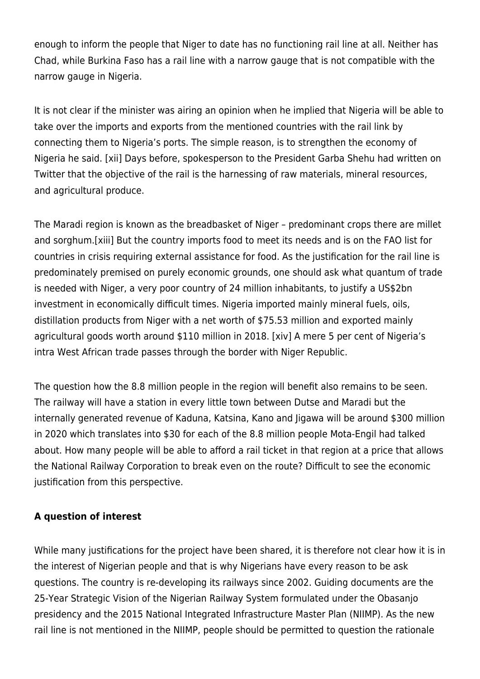enough to inform the people that Niger to date has no functioning rail line at all. Neither has Chad, while Burkina Faso has a rail line with a narrow gauge that is not compatible with the narrow gauge in Nigeria.

It is not clear if the minister was airing an opinion when he implied that Nigeria will be able to take over the imports and exports from the mentioned countries with the rail link by connecting them to Nigeria's ports. The simple reason, is to strengthen the economy of Nigeria he said. [\[xii\]](#page--1-0) Days before, spokesperson to the President Garba Shehu had written on Twitter that the objective of the rail is the harnessing of raw materials, mineral resources, and agricultural produce.

The Maradi region is known as the breadbasket of Niger – predominant crops there are millet and sorghum[.\[xiii\]](#page--1-0) But the country imports food to meet its needs and is on the FAO list for countries in crisis requiring external assistance for food. As the justification for the rail line is predominately premised on purely economic grounds, one should ask what quantum of trade is needed with Niger, a very poor country of 24 million inhabitants, to justify a US\$2bn investment in economically difficult times. Nigeria imported mainly mineral fuels, oils, distillation products from Niger with a net worth of \$75.53 million and exported mainly agricultural goods worth around \$110 million in 2018. [\[xiv\]](#page--1-0) A mere 5 per cent of Nigeria's intra West African trade passes through the border with Niger Republic.

The question how the 8.8 million people in the region will benefit also remains to be seen. The railway will have a station in every little town between Dutse and Maradi but the internally generated revenue of Kaduna, Katsina, Kano and Jigawa will be around \$300 million in 2020 which translates into \$30 for each of the 8.8 million people Mota-Engil had talked about. How many people will be able to afford a rail ticket in that region at a price that allows the National Railway Corporation to break even on the route? Difficult to see the economic justification from this perspective.

## **A question of interest**

While many justifications for the project have been shared, it is therefore not clear how it is in the interest of Nigerian people and that is why Nigerians have every reason to be ask questions. The country is re-developing its railways since 2002. Guiding documents are the 25-Year Strategic Vision of the Nigerian Railway System formulated under the Obasanjo presidency and the 2015 National Integrated Infrastructure Master Plan (NIIMP). As the new rail line is not mentioned in the NIIMP, people should be permitted to question the rationale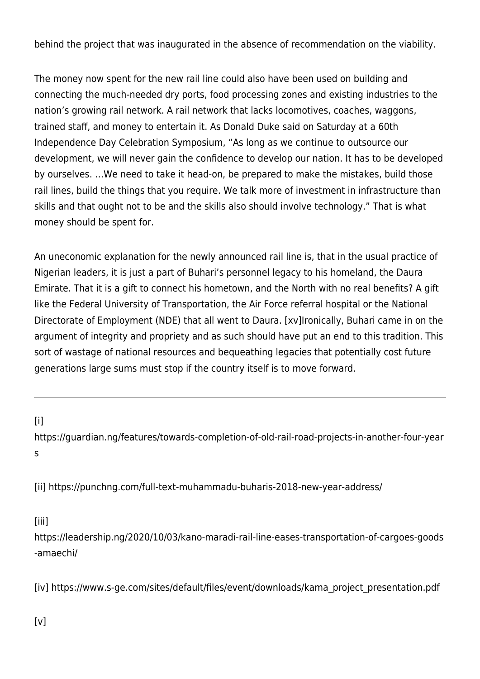behind the project that was inaugurated in the absence of recommendation on the viability.

The money now spent for the new rail line could also have been used on building and connecting the much-needed dry ports, food processing zones and existing industries to the nation's growing rail network. A rail network that lacks locomotives, coaches, waggons, trained staff, and money to entertain it. As Donald Duke said on Saturday at a 60th Independence Day Celebration Symposium, "As long as we continue to outsource our development, we will never gain the confidence to develop our nation. It has to be developed by ourselves. …We need to take it head-on, be prepared to make the mistakes, build those rail lines, build the things that you require. We talk more of investment in infrastructure than skills and that ought not to be and the skills also should involve technology." That is what money should be spent for.

An uneconomic explanation for the newly announced rail line is, that in the usual practice of Nigerian leaders, it is just a part of Buhari's personnel legacy to his homeland, the Daura Emirate. That it is a gift to connect his hometown, and the North with no real benefits? A gift like the Federal University of Transportation, the Air Force referral hospital or the National Directorate of Employment (NDE) that all went to Daura. [\[xv\]](#page--1-0)Ironically, Buhari came in on the argument of integrity and propriety and as such should have put an end to this tradition. This sort of wastage of national resources and bequeathing legacies that potentially cost future generations large sums must stop if the country itself is to move forward.

 $[ii]$ 

[https://guardian.ng/features/towards-completion-of-old-rail-road-projects-in-another-four-year](https://guardian.ng/features/towards-completion-of-old-rail-road-projects-in-another-four-years) [s](https://guardian.ng/features/towards-completion-of-old-rail-road-projects-in-another-four-years)

[\[ii\]](#page--1-0) <https://punchng.com/full-text-muhammadu-buharis-2018-new-year-address/>

[\[iii\]](#page--1-0)

[https://leadership.ng/2020/10/03/kano-maradi-rail-line-eases-transportation-of-cargoes-goods](https://leadership.ng/2020/10/03/kano-maradi-rail-line-eases-transportation-of-cargoes-goods-amaechi/) [-amaechi/](https://leadership.ng/2020/10/03/kano-maradi-rail-line-eases-transportation-of-cargoes-goods-amaechi/)

[\[iv\]](#page--1-0) [https://www.s-ge.com/sites/default/files/event/downloads/kama\\_project\\_presentation.pdf](https://www.s-ge.com/sites/default/files/event/downloads/kama_project_presentation.pdf)